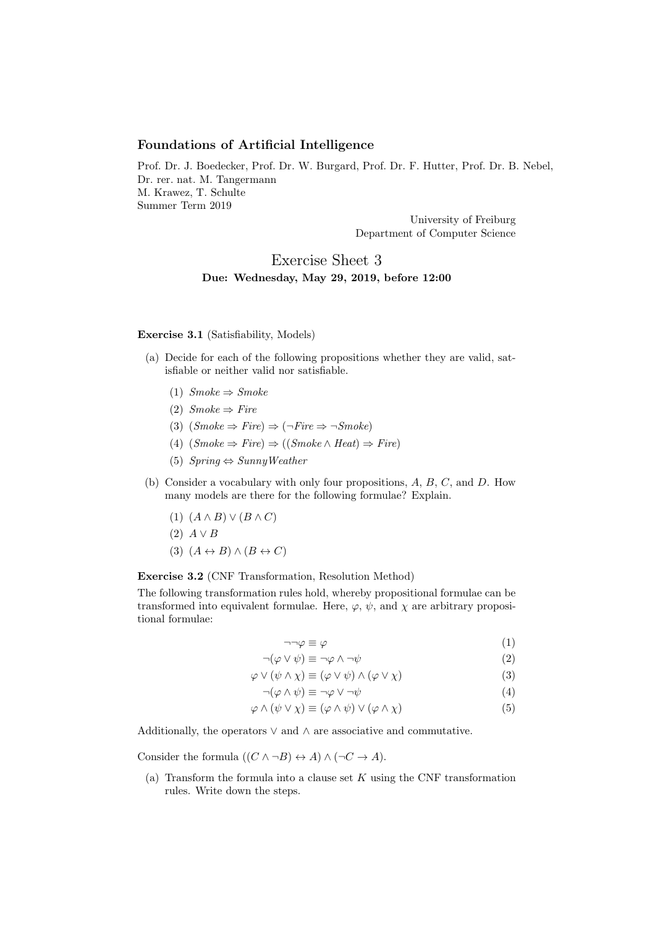## Foundations of Artificial Intelligence

Prof. Dr. J. Boedecker, Prof. Dr. W. Burgard, Prof. Dr. F. Hutter, Prof. Dr. B. Nebel, Dr. rer. nat. M. Tangermann M. Krawez, T. Schulte Summer Term 2019

> University of Freiburg Department of Computer Science

## Exercise Sheet 3 Due: Wednesday, May 29, 2019, before 12:00

## Exercise 3.1 (Satisfiability, Models)

- (a) Decide for each of the following propositions whether they are valid, satisfiable or neither valid nor satisfiable.
	- (1)  $Smoke \Rightarrow Smoke$
	- (2)  $Smoke \Rightarrow Fire$
	- (3)  $(Smoke \Rightarrow Fire) \Rightarrow (\neg Fire \Rightarrow \neg Smoke)$
	- (4)  $(Smoke \Rightarrow Fire) \Rightarrow ((Smoke \land Heat) \Rightarrow Fire)$
	- (5)  $Spring \Leftrightarrow SunnuWeather$
- (b) Consider a vocabulary with only four propositions, A, B, C, and D. How many models are there for the following formulae? Explain.
	- (1)  $(A \wedge B) \vee (B \wedge C)$  $(2)$   $A \vee B$ (3)  $(A \leftrightarrow B) \land (B \leftrightarrow C)$

Exercise 3.2 (CNF Transformation, Resolution Method)

The following transformation rules hold, whereby propositional formulae can be transformed into equivalent formulae. Here,  $\varphi$ ,  $\psi$ , and  $\chi$  are arbitrary propositional formulae:

$$
\neg \neg \varphi \equiv \varphi \tag{1}
$$

$$
\neg(\varphi \lor \psi) \equiv \neg \varphi \land \neg \psi \tag{2}
$$

$$
\varphi \lor (\psi \land \chi) \equiv (\varphi \lor \psi) \land (\varphi \lor \chi)
$$
\n(3)

$$
\neg(\varphi \land \psi) \equiv \neg \varphi \lor \neg \psi \tag{4}
$$

$$
\varphi \wedge (\psi \vee \chi) \equiv (\varphi \wedge \psi) \vee (\varphi \wedge \chi) \tag{5}
$$

Additionally, the operators  $\vee$  and  $\wedge$  are associative and commutative.

Consider the formula  $((C \land \neg B) \leftrightarrow A) \land (\neg C \rightarrow A)$ .

(a) Transform the formula into a clause set  $K$  using the CNF transformation rules. Write down the steps.